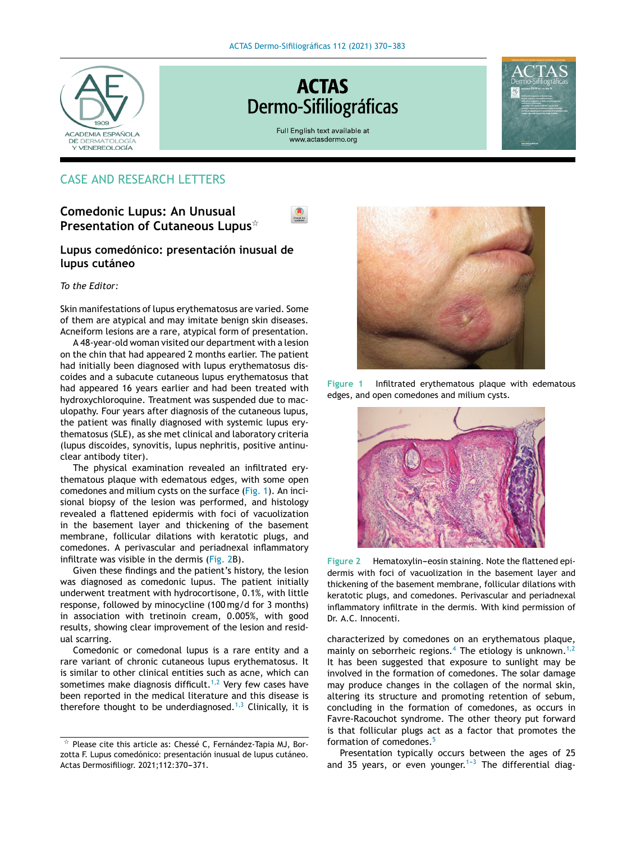

# **ACTAS** Dermo-Sifiliográficas

Full English text available at www.actasdermo.org



# CASE AND RESEARCH LETTERS

# **Comedonic Lupus: An Unusual Presentation of Cutaneous Lupus**-



## **Lupus comedónico: presentación inusual de lupus cutáneo**

#### *To the Editor:*

Skin manifestations of lupus erythematosus are varied. Some of them are atypical and may imitate benign skin diseases. Acneiform lesions are a rare, atypical form of presentation.

A 48-year-old woman visited our department with a lesion on the chin that had appeared 2 months earlier. The patient had initially been diagnosed with lupus erythematosus discoides and a subacute cutaneous lupus erythematosus that had appeared 16 years earlier and had been treated with hydroxychloroquine. Treatment was suspended due to maculopathy. Four years after diagnosis of the cutaneous lupus, the patient was finally diagnosed with systemic lupus erythematosus (SLE), as she met clinical and laboratory criteria (lupus discoides, synovitis, lupus nephritis, positive antinuclear antibody titer).

The physical examination revealed an infiltrated erythematous plaque with edematous edges, with some open comedones and milium cysts on the surface (Fig. 1). An incisional biopsy of the lesion was performed, and histology revealed a flattened epidermis with foci of vacuolization in the basement layer and thickening of the basement membrane, follicular dilations with keratotic plugs, and comedones. A perivascular and periadnexal inflammatory infiltrate was visible in the dermis (Fig. 2B).

Given these findings and the patient's history, the lesion was diagnosed as comedonic lupus. The patient initially underwent treatment with hydrocortisone, 0.1%, with little response, followed by minocycline (100 mg/d for 3 months) in association with tretinoin cream, 0.005%, with good results, showing clear improvement of the lesion and residual scarring.

Comedonic or comedonal lupus is a rare entity and a rare variant of chronic cutaneous lupus erythematosus. It is similar to other clinical entities such as acne, which can sometimes make diagnosis difficult.<sup>[1,2](#page-1-0)</sup> Very few cases have been reported in the medical literature and this disease is therefore thought to be underdiagnosed.<sup>[1,3](#page-1-0)</sup> Clinically, it is



**Figure 1** Infiltrated erythematous plaque with edematous edges, and open comedones and milium cysts.



**Figure 2** Hematoxylin-eosin staining. Note the flattened epidermis with foci of vacuolization in the basement layer and thickening of the basement membrane, follicular dilations with keratotic plugs, and comedones. Perivascular and periadnexal inflammatory infiltrate in the dermis. With kind permission of Dr. A.C. Innocenti.

characterized by comedones on an erythematous plaque, mainly on seborrheic regions.<sup>[4](#page-1-0)</sup> The etiology is unknown.<sup>[1,2](#page-1-0)</sup> It has been suggested that exposure to sunlight may be involved in the formation of comedones. The solar damage may produce changes in the collagen of the normal skin, altering its structure and promoting retention of sebum, concluding in the formation of comedones, as occurs in Favre-Racouchot syndrome. The other theory put forward is that follicular plugs act as a factor that promotes the formation of comedones.[5](#page-1-0)

Presentation typically occurs between the ages of 25 and 35 years, or even younger.<sup>1-3</sup> The differential diag-

 $\star$  Please cite this article as: Chessé C, Fernández-Tapia MJ, Borzotta F. Lupus comedónico: presentación inusual de lupus cutáneo. Actas Dermosifiliogr. 2021;112:370-371.